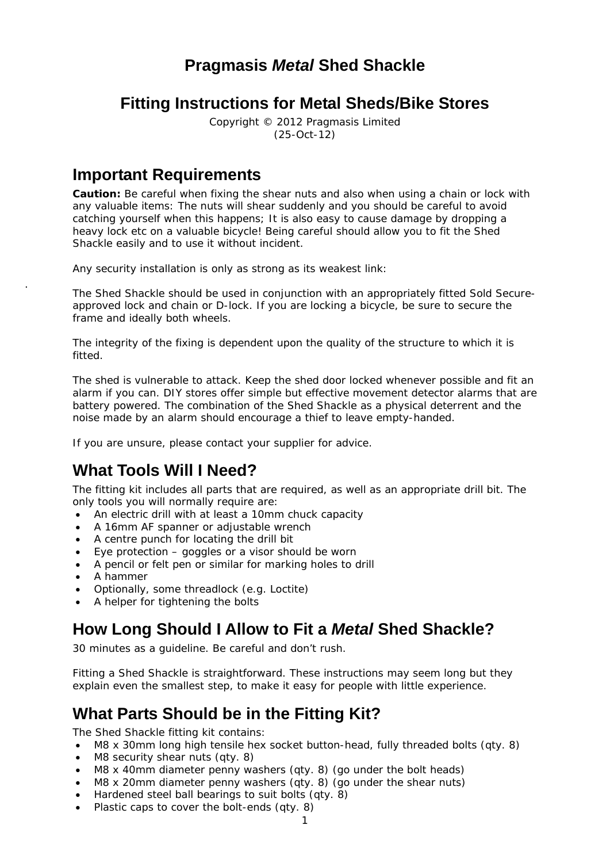### **Pragmasis** *Metal* **Shed Shackle**

### **Fitting Instructions for Metal Sheds/Bike Stores**

Copyright © 2012 Pragmasis Limited (25-Oct-12)

## **Important Requirements**

**Caution:** Be careful when fixing the shear nuts and also when using a chain or lock with any valuable items: The nuts will shear suddenly and you should be careful to avoid catching yourself when this happens; It is also easy to cause damage by dropping a heavy lock etc on a valuable bicycle! Being careful should allow you to fit the Shed Shackle easily and to use it without incident.

Any security installation is only as strong as its weakest link:

The Shed Shackle should be used in conjunction with an appropriately fitted Sold Secureapproved lock and chain or D-lock. If you are locking a bicycle, be sure to secure the frame and ideally both wheels.

The integrity of the fixing is dependent upon the quality of the structure to which it is fitted.

The shed is vulnerable to attack. Keep the shed door locked whenever possible and fit an alarm if you can. DIY stores offer simple but effective movement detector alarms that are battery powered. The combination of the Shed Shackle as a physical deterrent and the noise made by an alarm should encourage a thief to leave empty-handed.

If you are unsure, please contact your supplier for advice.

### **What Tools Will I Need?**

The fitting kit includes all parts that are required, as well as an appropriate drill bit. The only tools you will normally require are:

- An electric drill with at least a 10mm chuck capacity
- A 16mm AF spanner or adjustable wrench
- A centre punch for locating the drill bit
- Eye protection goggles or a visor should be worn
- A pencil or felt pen or similar for marking holes to drill
- A hammer

.

- Optionally, some threadlock (e.g. *Loctite*)
- A helper for tightening the bolts

### **How Long Should I Allow to Fit a** *Metal* **Shed Shackle?**

30 minutes as a guideline. Be careful and don't rush.

Fitting a Shed Shackle is straightforward. These instructions may seem long but they explain even the smallest step, to make it easy for people with little experience.

# **What Parts Should be in the Fitting Kit?**

The Shed Shackle fitting kit contains:

- M8 x 30mm long high tensile hex socket button-head, fully threaded bolts (qty. 8)
- M8 security shear nuts (qty. 8)
- M8 x 40mm diameter penny washers (qty. 8) (go under the bolt heads)
- M8 x 20mm diameter penny washers (qty. 8) (go under the shear nuts)
- Hardened steel ball bearings to suit bolts (qty. 8)
- Plastic caps to cover the bolt-ends (qty. 8)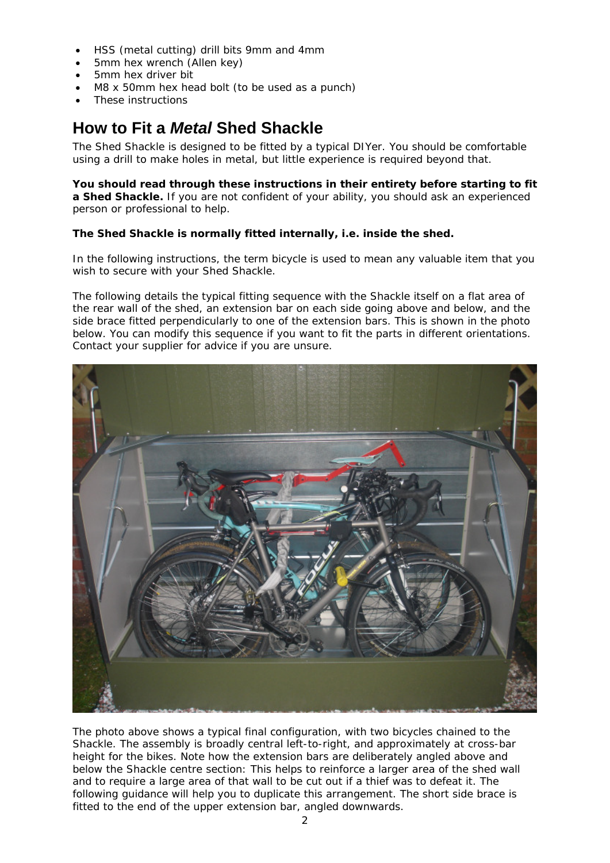- HSS (metal cutting) drill bits 9mm and 4mm
- 5mm hex wrench (*Allen* key)
- 5mm hex driver bit
- M8 x 50mm hex head bolt (to be used as a punch)
- These instructions

# **How to Fit a** *Metal* **Shed Shackle**

The Shed Shackle is designed to be fitted by a typical DIYer. You should be comfortable using a drill to make holes in metal, but little experience is required beyond that.

**You should read through these instructions in their entirety** *before starting to fit a Shed Shackle***.** If you are not confident of your ability, you should ask an experienced person or professional to help.

#### **The Shed Shackle is normally fitted** *internally***, i.e. inside the shed.**

In the following instructions, the term *bicycle* is used to mean any valuable item that you wish to secure with your Shed Shackle.

*The following details the typical fitting sequence with the Shackle itself on a flat area of the rear wall of the shed, an extension bar on each side going above and below, and the side brace fitted perpendicularly to one of the extension bars. This is shown in the photo below. You can modify this sequence if you want to fit the parts in different orientations. Contact your supplier for advice if you are unsure.* 



The photo above shows a typical final configuration, with two bicycles chained to the Shackle. The assembly is broadly central left-to-right, and approximately at cross-bar height for the bikes. Note how the extension bars are deliberately angled above and below the Shackle centre section: This helps to reinforce a larger area of the shed wall and to require a large area of that wall to be cut out if a thief was to defeat it. The following guidance will help you to duplicate this arrangement. The short side brace is fitted to the end of the upper extension bar, angled downwards.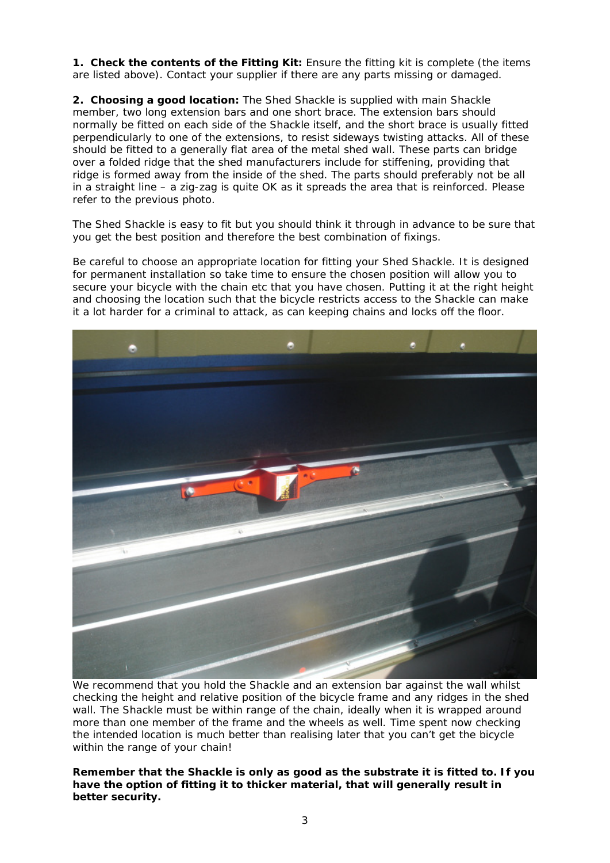**1. Check the contents of the Fitting Kit:** Ensure the fitting kit is complete (the items are listed above). Contact your supplier if there are any parts missing or damaged.

**2. Choosing a good location:** The Shed Shackle is supplied with main Shackle member, two long extension bars and one short brace. The extension bars should normally be fitted on each side of the Shackle itself, and the short brace is usually fitted perpendicularly to one of the extensions, to resist sideways twisting attacks. All of these should be fitted to a generally flat area of the metal shed wall. These parts can bridge over a folded ridge that the shed manufacturers include for stiffening, providing that ridge is formed *away* from the inside of the shed. The parts should preferably *not* be all in a straight line – a *zig-zag* is quite OK as it spreads the area that is reinforced. Please refer to the previous photo.

The Shed Shackle is easy to fit but you should think it through in advance to be sure that you get the best position and therefore the best combination of fixings.

Be careful to choose an appropriate location for fitting your Shed Shackle. It is designed for permanent installation so take time to ensure the chosen position will allow you to secure your bicycle with the chain etc that you have chosen. Putting it at the right height and choosing the location such that the bicycle restricts access to the Shackle can make it a lot harder for a criminal to attack, as can keeping chains and locks off the floor.



We recommend that you hold the Shackle and an extension bar against the wall whilst checking the height and relative position of the bicycle frame and any ridges in the shed wall. The Shackle must be within range of the chain, ideally when it is wrapped around more than one member of the frame and the wheels as well. Time spent now checking the intended location is much better than realising later that you can't get the bicycle within the range of your chain!

**Remember that the Shackle is only as good as the substrate it is fitted to. If you have the option of fitting it to thicker material, that will generally result in better security.**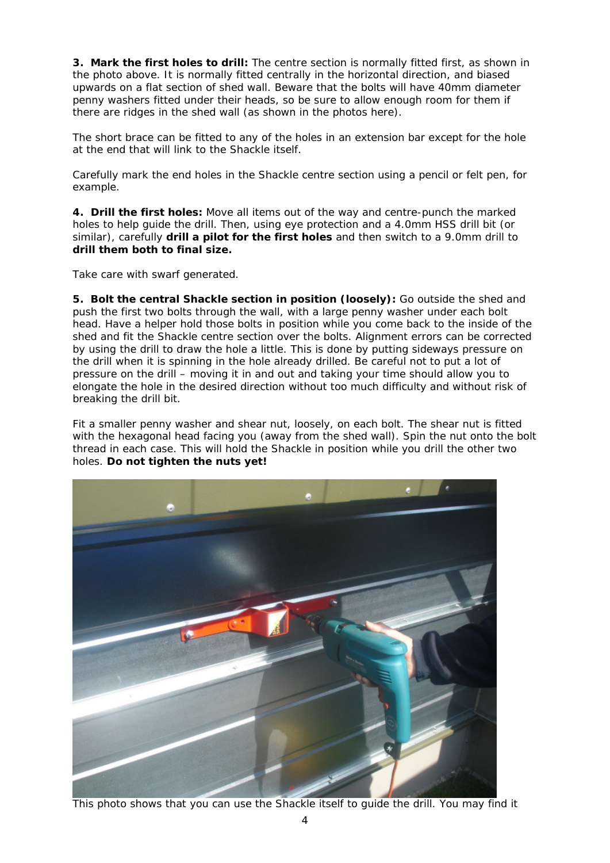**3. Mark the first holes to drill:** The centre section is normally fitted first, as shown in the photo above. It is normally fitted centrally in the horizontal direction, and biased upwards on a flat section of shed wall. Beware that the bolts will have 40mm diameter penny washers fitted under their heads, so be sure to allow enough room for them if there are ridges in the shed wall (as shown in the photos here).

The short brace can be fitted to any of the holes in an extension bar except for the hole at the end that will link to the Shackle itself.

Carefully mark the end holes in the Shackle centre section using a pencil or felt pen, for example.

**4. Drill the first holes:** Move all items out of the way and *centre-*punch the marked holes to help guide the drill. Then, using eye protection and a 4.0mm HSS drill bit (or similar), carefully **drill a pilot for the first holes** and then switch to a 9.0mm drill to **drill them both to final size.** 

Take care with swarf generated.

**5. Bolt the central Shackle section in position (loosely):** Go outside the shed and push the first two bolts through the wall, with a large penny washer under each bolt head. Have a helper hold those bolts in position while you come back to the inside of the shed and fit the Shackle centre section over the bolts. Alignment errors can be corrected by using the drill to draw the hole a little. This is done by putting sideways pressure on the drill when it is spinning in the hole already drilled. Be careful not to put a lot of pressure on the drill – moving it in and out and taking your time should allow you to elongate the hole in the desired direction without too much difficulty and without risk of breaking the drill bit.

Fit a smaller penny washer and shear nut, loosely, on each bolt. The shear nut is fitted with the hexagonal head facing you (away from the shed wall). Spin the nut onto the bolt thread in each case. This will hold the Shackle in position while you drill the other two holes. **Do not tighten the nuts yet!**



This photo shows that you can use the Shackle itself to guide the drill. You may find it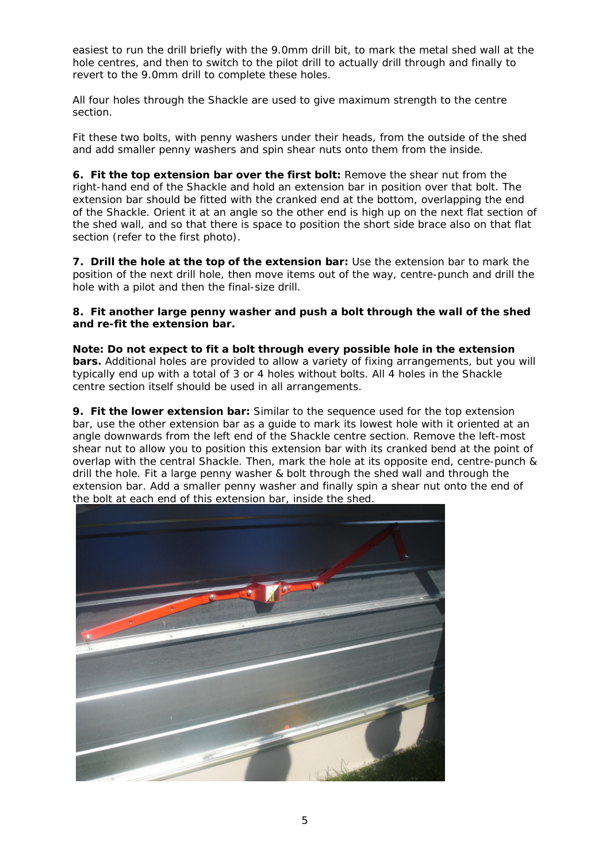easiest to run the drill briefly with the 9.0mm drill bit, to mark the metal shed wall at the hole centres, and then to switch to the pilot drill to actually drill through and finally to revert to the 9.0mm drill to complete these holes.

All four holes through the Shackle are used to give maximum strength to the centre section.

Fit these two bolts, with penny washers under their heads, from the outside of the shed and add smaller penny washers and spin shear nuts onto them from the inside.

**6. Fit the top extension bar over the first bolt:** Remove the shear nut from the right-hand end of the Shackle and hold an extension bar in position over that bolt. The extension bar should be fitted with the cranked end at the bottom, overlapping the end of the Shackle. Orient it at an angle so the other end is high up on the next flat section of the shed wall, and so that there is space to position the short side brace also on that flat section (refer to the first photo).

**7. Drill the hole at the** *top* **of the extension bar:** Use the extension bar to mark the position of the next drill hole, then move items out of the way, centre-punch and drill the hole with a pilot and then the final-size drill.

#### **8. Fit another large penny washer and push a bolt through the wall of the shed and re-fit the extension bar.**

**Note: Do not expect to fit a bolt through every possible hole in the extension bars.** Additional holes are provided to allow a variety of fixing arrangements, but you will typically end up with a *total* of 3 or 4 holes without bolts. All 4 holes in the Shackle centre section itself should be used in all arrangements.

**9. Fit the lower extension bar:** Similar to the sequence used for the top extension bar, use the other extension bar as a guide to mark its lowest hole with it oriented at an angle downwards from the left end of the Shackle centre section. Remove the left-most shear nut to allow you to position this extension bar with its cranked bend at the point of overlap with the central Shackle. Then, mark the hole at its opposite end, centre-punch & drill the hole. Fit a large penny washer & bolt through the shed wall and through the extension bar. Add a smaller penny washer and finally spin a shear nut onto the end of the bolt at each end of this extension bar, inside the shed.

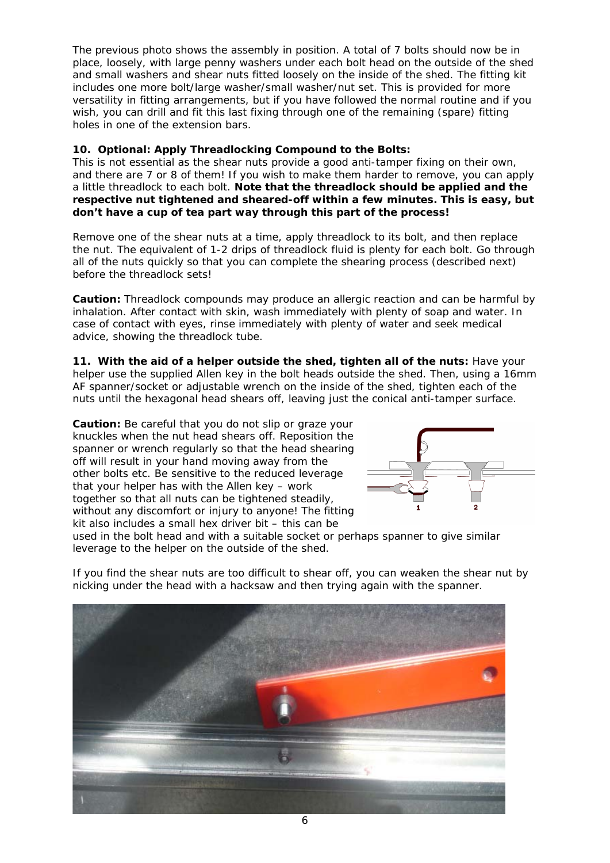The previous photo shows the assembly in position. A total of 7 bolts should now be in place, loosely, with large penny washers under each bolt head on the outside of the shed and small washers and shear nuts fitted loosely on the inside of the shed. The fitting kit includes one more bolt/large washer/small washer/nut set. This is provided for more versatility in fitting arrangements, but if you have followed the normal routine and if you wish, you can drill and fit this last fixing through one of the remaining (spare) fitting holes in one of the extension bars.

#### **10. Optional: Apply Threadlocking Compound to the Bolts:**

This is not essential as the shear nuts provide a good anti-tamper fixing on their own, and there are 7 or 8 of them! If you wish to make them harder to remove, you can apply a little threadlock to each bolt. **Note that the threadlock should be applied and the respective nut tightened and sheared-off within a few minutes. This is easy, but don't have a cup of tea part way through this part of the process!**

Remove one of the shear nuts at a time, apply threadlock to its bolt, and then replace the nut. The equivalent of 1-2 drips of threadlock fluid is plenty for each bolt. Go through all of the nuts quickly so that you can complete the shearing process (described next) before the threadlock sets!

**Caution:** Threadlock compounds may produce an allergic reaction and can be harmful by inhalation. After contact with skin, wash immediately with plenty of soap and water. In case of contact with eyes, rinse immediately with plenty of water and seek medical advice, showing the threadlock tube.

**11. With the aid of a helper outside the shed, tighten all of the nuts:** Have your helper use the supplied Allen key in the bolt heads outside the shed. Then, using a 16mm AF spanner/socket or adjustable wrench on the inside of the shed, tighten each of the nuts until the hexagonal head shears off, leaving just the conical anti-tamper surface.

**Caution:** Be careful that you do not slip or graze your knuckles when the nut head shears off. Reposition the spanner or wrench regularly so that the head shearing off will result in your hand moving *away* from the other bolts etc. Be sensitive to the reduced leverage that your helper has with the Allen key – work together so that all nuts can be tightened steadily, without any discomfort or injury to anyone! The fitting kit also includes a small hex driver bit – this can be



used in the bolt head and with a suitable socket or perhaps spanner to give similar leverage to the helper on the outside of the shed.

If you find the shear nuts are too difficult to shear off, you can weaken the shear nut by nicking under the head with a hacksaw and then trying again with the spanner.

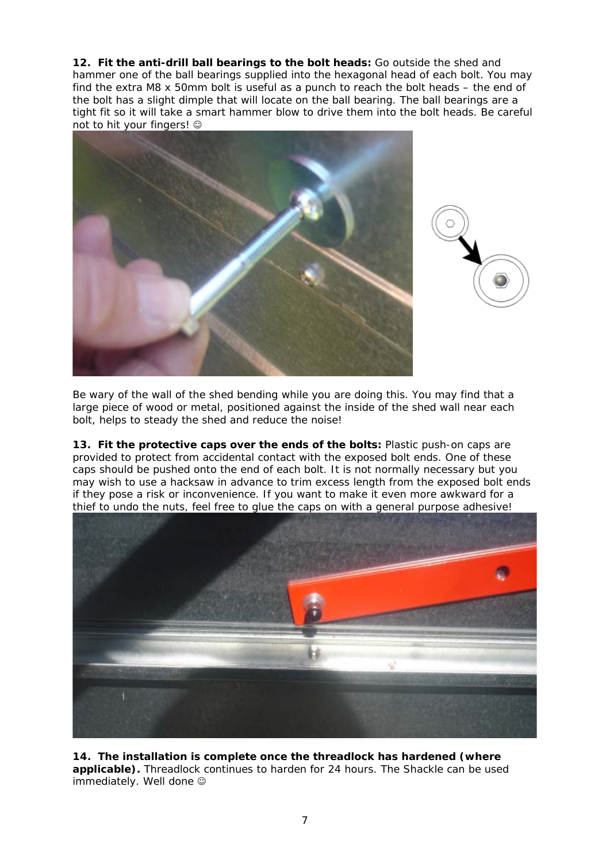**12. Fit the anti-drill ball bearings to the bolt heads:** Go outside the shed and hammer one of the ball bearings supplied into the hexagonal head of each bolt. You may find the extra M8 x 50mm bolt is useful as a *punch* to reach the bolt heads – the end of the bolt has a slight dimple that will locate on the ball bearing. The ball bearings are a tight fit so it will take a smart hammer blow to drive them into the bolt heads. Be careful not to hit your fingers!





Be wary of the wall of the shed bending while you are doing this. You may find that a large piece of wood or metal, positioned against the inside of the shed wall near each bolt, helps to steady the shed and reduce the noise!

**13. Fit the protective caps over the ends of the bolts:** Plastic push-on caps are provided to protect from accidental contact with the exposed bolt ends. One of these caps should be pushed onto the end of each bolt. It is not normally necessary but you may wish to use a hacksaw in advance to trim excess length from the exposed bolt ends if they pose a risk or inconvenience. If you want to make it even more awkward for a thief to undo the nuts, feel free to glue the caps on with a general purpose adhesive!



**14. The installation is complete once the threadlock has hardened (where applicable).** Threadlock continues to harden for 24 hours. The Shackle can be used immediately. Well done